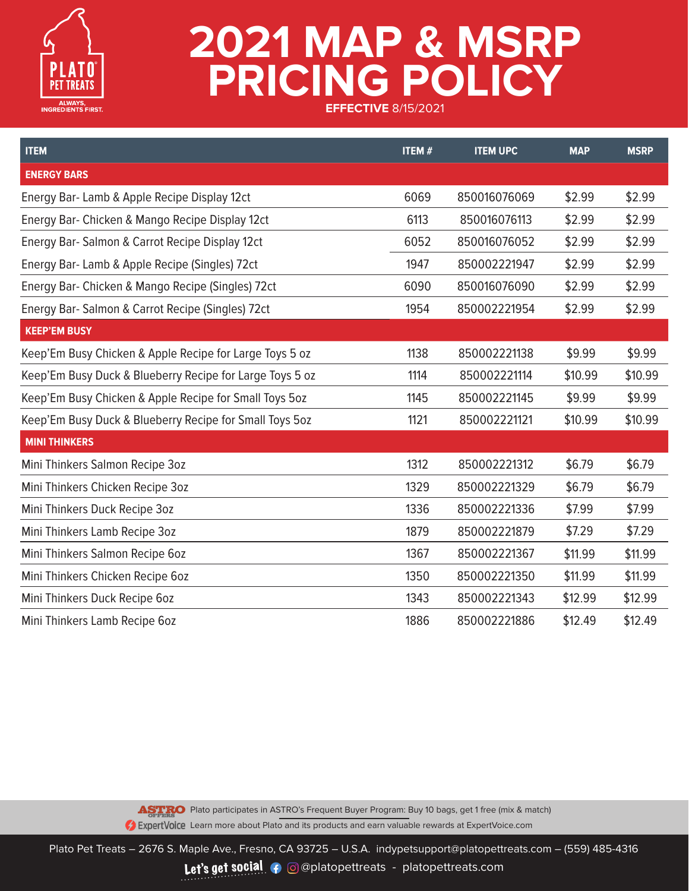

| <b>ITEM</b>                                              | <b>ITEM#</b> | <b>ITEM UPC</b> | <b>MAP</b> | <b>MSRP</b> |
|----------------------------------------------------------|--------------|-----------------|------------|-------------|
| <b>ENERGY BARS</b>                                       |              |                 |            |             |
| Energy Bar- Lamb & Apple Recipe Display 12ct             | 6069         | 850016076069    | \$2.99     | \$2.99      |
| Energy Bar- Chicken & Mango Recipe Display 12ct          | 6113         | 850016076113    | \$2.99     | \$2.99      |
| Energy Bar- Salmon & Carrot Recipe Display 12ct          | 6052         | 850016076052    | \$2.99     | \$2.99      |
| Energy Bar- Lamb & Apple Recipe (Singles) 72ct           | 1947         | 850002221947    | \$2.99     | \$2.99      |
| Energy Bar- Chicken & Mango Recipe (Singles) 72ct        | 6090         | 850016076090    | \$2.99     | \$2.99      |
| Energy Bar- Salmon & Carrot Recipe (Singles) 72ct        | 1954         | 850002221954    | \$2.99     | \$2.99      |
| <b>KEEP'EM BUSY</b>                                      |              |                 |            |             |
| Keep'Em Busy Chicken & Apple Recipe for Large Toys 5 oz  | 1138         | 850002221138    | \$9.99     | \$9.99      |
| Keep'Em Busy Duck & Blueberry Recipe for Large Toys 5 oz | 1114         | 850002221114    | \$10.99    | \$10.99     |
| Keep'Em Busy Chicken & Apple Recipe for Small Toys 5oz   | 1145         | 850002221145    | \$9.99     | \$9.99      |
| Keep'Em Busy Duck & Blueberry Recipe for Small Toys 5oz  | 1121         | 850002221121    | \$10.99    | \$10.99     |
| <b>MINI THINKERS</b>                                     |              |                 |            |             |
| Mini Thinkers Salmon Recipe 3oz                          | 1312         | 850002221312    | \$6.79     | \$6.79      |
| Mini Thinkers Chicken Recipe 3oz                         | 1329         | 850002221329    | \$6.79     | \$6.79      |
| Mini Thinkers Duck Recipe 3oz                            | 1336         | 850002221336    | \$7.99     | \$7.99      |
| Mini Thinkers Lamb Recipe 3oz                            | 1879         | 850002221879    | \$7.29     | \$7.29      |
| Mini Thinkers Salmon Recipe 6oz                          | 1367         | 850002221367    | \$11.99    | \$11.99     |
| Mini Thinkers Chicken Recipe 6oz                         | 1350         | 850002221350    | \$11.99    | \$11.99     |
| Mini Thinkers Duck Recipe 6oz                            | 1343         | 850002221343    | \$12.99    | \$12.99     |
| Mini Thinkers Lamb Recipe 60z                            | 1886         | 850002221886    | \$12.49    | \$12.49     |

ASTRO Plato participates in ASTRO's Frequent Buyer Program: Buy 10 bags, get 1 free (mix & match) **2** ExpertVoice Learn more about Plato and its products and earn valuable rewards at ExpertVoice.com

Plato Pet Treats – 2676 S. Maple Ave., Fresno, CA 93725 – U.S.A. indypetsupport@platopettreats.com – (559) 485-4316 Let's get social  $\bullet$  @@platopettreats - platopettreats.com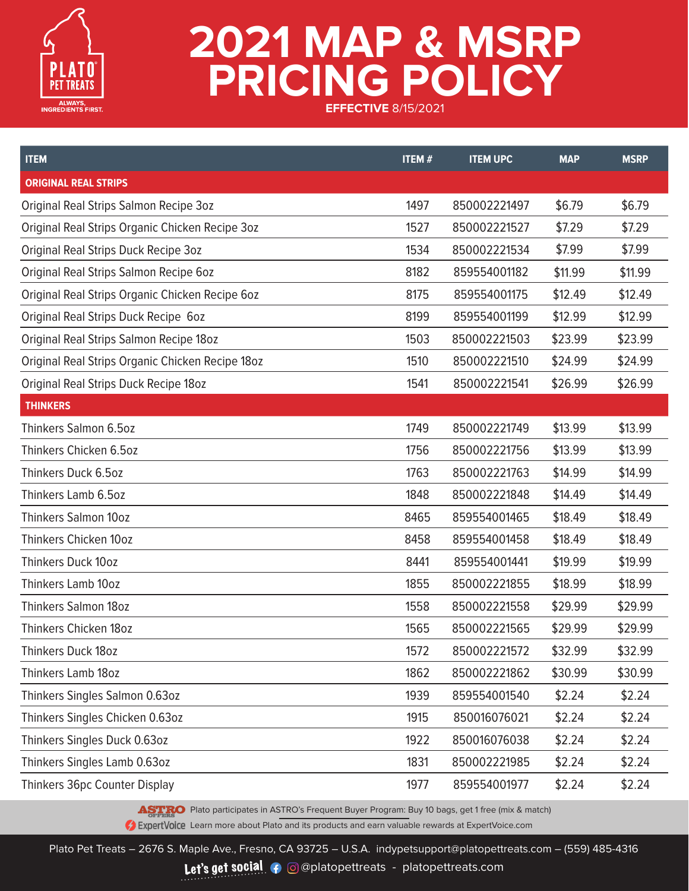

| <b>ITEM</b>                                      | <b>ITEM#</b> | <b>ITEM UPC</b> | <b>MAP</b> | <b>MSRP</b> |
|--------------------------------------------------|--------------|-----------------|------------|-------------|
| <b>ORIGINAL REAL STRIPS</b>                      |              |                 |            |             |
| Original Real Strips Salmon Recipe 3oz           | 1497         | 850002221497    | \$6.79     | \$6.79      |
| Original Real Strips Organic Chicken Recipe 3oz  | 1527         | 850002221527    | \$7.29     | \$7.29      |
| Original Real Strips Duck Recipe 3oz             | 1534         | 850002221534    | \$7.99     | \$7.99      |
| Original Real Strips Salmon Recipe 6oz           | 8182         | 859554001182    | \$11.99    | \$11.99     |
| Original Real Strips Organic Chicken Recipe 60z  | 8175         | 859554001175    | \$12.49    | \$12.49     |
| Original Real Strips Duck Recipe 60z             | 8199         | 859554001199    | \$12.99    | \$12.99     |
| Original Real Strips Salmon Recipe 18oz          | 1503         | 850002221503    | \$23.99    | \$23.99     |
| Original Real Strips Organic Chicken Recipe 180z | 1510         | 850002221510    | \$24.99    | \$24.99     |
| Original Real Strips Duck Recipe 18oz            | 1541         | 850002221541    | \$26.99    | \$26.99     |
| <b>THINKERS</b>                                  |              |                 |            |             |
| Thinkers Salmon 6.5oz                            | 1749         | 850002221749    | \$13.99    | \$13.99     |
| Thinkers Chicken 6.5oz                           | 1756         | 850002221756    | \$13.99    | \$13.99     |
| Thinkers Duck 6.5oz                              | 1763         | 850002221763    | \$14.99    | \$14.99     |
| Thinkers Lamb 6.5oz                              | 1848         | 850002221848    | \$14.49    | \$14.49     |
| <b>Thinkers Salmon 10oz</b>                      | 8465         | 859554001465    | \$18.49    | \$18.49     |
| Thinkers Chicken 10oz                            | 8458         | 859554001458    | \$18.49    | \$18.49     |
| <b>Thinkers Duck 10oz</b>                        | 8441         | 859554001441    | \$19.99    | \$19.99     |
| <b>Thinkers Lamb 10oz</b>                        | 1855         | 850002221855    | \$18.99    | \$18.99     |
| <b>Thinkers Salmon 18oz</b>                      | 1558         | 850002221558    | \$29.99    | \$29.99     |
| Thinkers Chicken 18oz                            | 1565         | 850002221565    | \$29.99    | \$29.99     |
| Thinkers Duck 18oz                               | 1572         | 850002221572    | \$32.99    | \$32.99     |
| Thinkers Lamb 18oz                               | 1862         | 850002221862    | \$30.99    | \$30.99     |
| Thinkers Singles Salmon 0.63oz                   | 1939         | 859554001540    | \$2.24     | \$2.24      |
| Thinkers Singles Chicken 0.63oz                  | 1915         | 850016076021    | \$2.24     | \$2.24      |
| Thinkers Singles Duck 0.63oz                     | 1922         | 850016076038    | \$2.24     | \$2.24      |
| Thinkers Singles Lamb 0.63oz                     | 1831         | 850002221985    | \$2.24     | \$2.24      |
| Thinkers 36pc Counter Display                    | 1977         | 859554001977    | \$2.24     | \$2.24      |

ASTRO Plato participates in ASTRO's Frequent Buyer Program: Buy 10 bags, get 1 free (mix & match)

**2** ExpertVoice Learn more about Plato and its products and earn valuable rewards at ExpertVoice.com

Plato Pet Treats – 2676 S. Maple Ave., Fresno, CA 93725 – U.S.A. indypetsupport@platopettreats.com – (559) 485-4316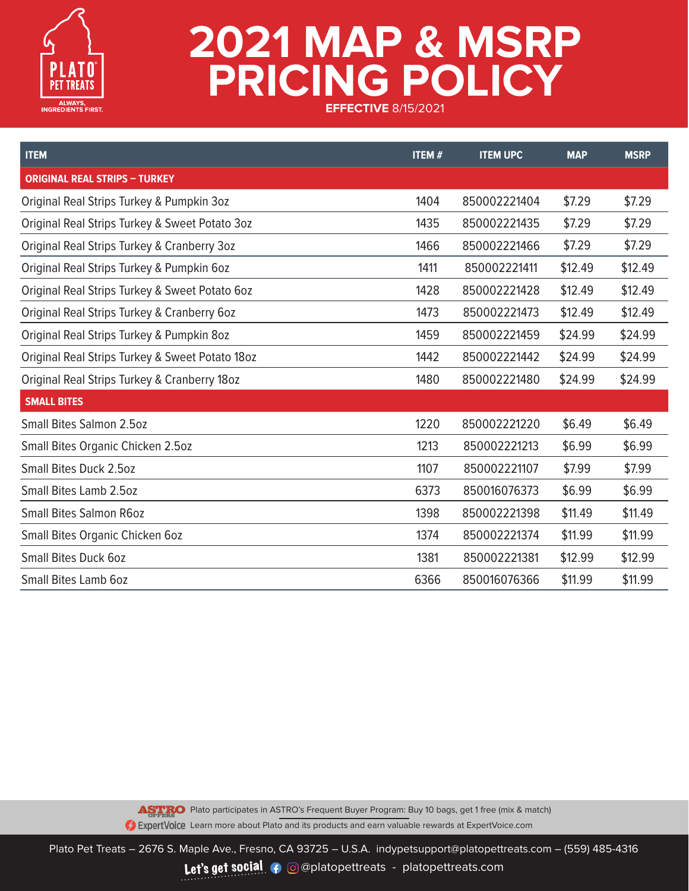

| <b>ITEM</b>                                     | <b>ITEM#</b> | <b>ITEM UPC</b> | <b>MAP</b> | <b>MSRP</b> |
|-------------------------------------------------|--------------|-----------------|------------|-------------|
| <b>ORIGINAL REAL STRIPS - TURKEY</b>            |              |                 |            |             |
| Original Real Strips Turkey & Pumpkin 3oz       | 1404         | 850002221404    | \$7.29     | \$7.29      |
| Original Real Strips Turkey & Sweet Potato 3oz  | 1435         | 850002221435    | \$7.29     | \$7.29      |
| Original Real Strips Turkey & Cranberry 3oz     | 1466         | 850002221466    | \$7.29     | \$7.29      |
| Original Real Strips Turkey & Pumpkin 6oz       | 1411         | 850002221411    | \$12.49    | \$12.49     |
| Original Real Strips Turkey & Sweet Potato 6oz  | 1428         | 850002221428    | \$12.49    | \$12.49     |
| Original Real Strips Turkey & Cranberry 60z     | 1473         | 850002221473    | \$12.49    | \$12.49     |
| Original Real Strips Turkey & Pumpkin 8oz       | 1459         | 850002221459    | \$24.99    | \$24.99     |
| Original Real Strips Turkey & Sweet Potato 18oz | 1442         | 850002221442    | \$24.99    | \$24.99     |
| Original Real Strips Turkey & Cranberry 18oz    | 1480         | 850002221480    | \$24.99    | \$24.99     |
| <b>SMALL BITES</b>                              |              |                 |            |             |
| <b>Small Bites Salmon 2.5oz</b>                 | 1220         | 850002221220    | \$6.49     | \$6.49      |
| Small Bites Organic Chicken 2.5oz               | 1213         | 850002221213    | \$6.99     | \$6.99      |
| <b>Small Bites Duck 2.5oz</b>                   | 1107         | 850002221107    | \$7.99     | \$7.99      |
| Small Bites Lamb 2.5oz                          | 6373         | 850016076373    | \$6.99     | \$6.99      |
| <b>Small Bites Salmon R6oz</b>                  | 1398         | 850002221398    | \$11.49    | \$11.49     |
| Small Bites Organic Chicken 60z                 | 1374         | 850002221374    | \$11.99    | \$11.99     |
| <b>Small Bites Duck 6oz</b>                     | 1381         | 850002221381    | \$12.99    | \$12.99     |
| <b>Small Bites Lamb 6oz</b>                     | 6366         | 850016076366    | \$11.99    | \$11.99     |

ASTRO Plato participates in ASTRO's Frequent Buyer Program: Buy 10 bags, get 1 free (mix & match) **2** ExpertVoice Learn more about Plato and its products and earn valuable rewards at ExpertVoice.com

Plato Pet Treats – 2676 S. Maple Ave., Fresno, CA 93725 – U.S.A. indypetsupport@platopettreats.com – (559) 485-4316 Let's get social  $\bullet$  @@platopettreats - platopettreats.com